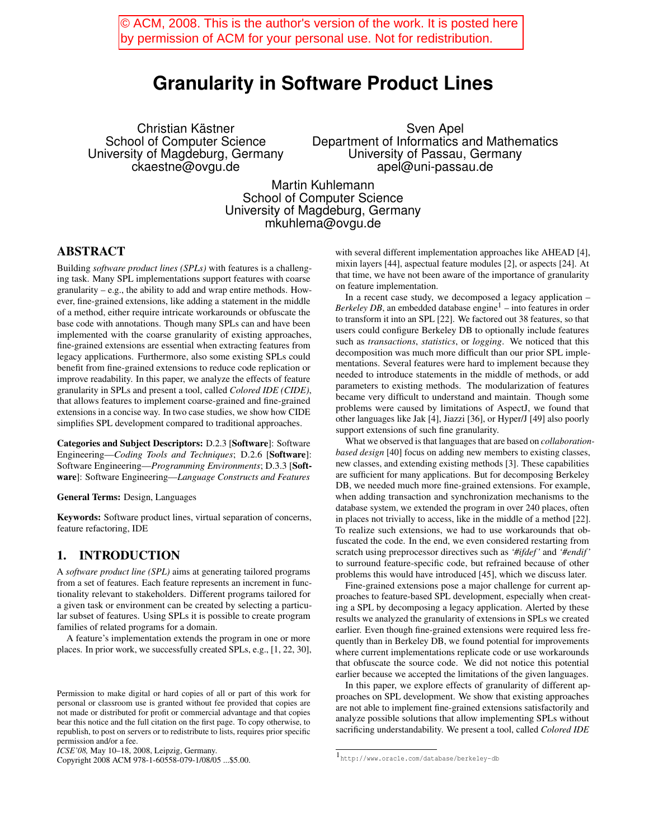© ACM, 2008. This is the author's version of the work. It is posted here by permission of ACM for your personal use. Not for redistribution.

# **Granularity in Software Product Lines**

Christian Kästner School of Computer Science University of Magdeburg, Germany ckaestne@ovgu.de

Sven Apel Department of Informatics and Mathematics University of Passau, Germany apel@uni-passau.de

Martin Kuhlemann School of Computer Science University of Magdeburg, Germany mkuhlema@ovgu.de

## ABSTRACT

Building *software product lines (SPLs)* with features is a challenging task. Many SPL implementations support features with coarse granularity – e.g., the ability to add and wrap entire methods. However, fine-grained extensions, like adding a statement in the middle of a method, either require intricate workarounds or obfuscate the base code with annotations. Though many SPLs can and have been implemented with the coarse granularity of existing approaches, fine-grained extensions are essential when extracting features from legacy applications. Furthermore, also some existing SPLs could benefit from fine-grained extensions to reduce code replication or improve readability. In this paper, we analyze the effects of feature granularity in SPLs and present a tool, called *Colored IDE (CIDE)*, that allows features to implement coarse-grained and fine-grained extensions in a concise way. In two case studies, we show how CIDE simplifies SPL development compared to traditional approaches.

Categories and Subject Descriptors: D.2.3 [Software]: Software Engineering—*Coding Tools and Techniques*; D.2.6 [Software]: Software Engineering—*Programming Environments*; D.3.3 [Software]: Software Engineering—*Language Constructs and Features*

General Terms: Design, Languages

Keywords: Software product lines, virtual separation of concerns, feature refactoring, IDE

## 1. INTRODUCTION

A *software product line (SPL)* aims at generating tailored programs from a set of features. Each feature represents an increment in functionality relevant to stakeholders. Different programs tailored for a given task or environment can be created by selecting a particular subset of features. Using SPLs it is possible to create program families of related programs for a domain.

A feature's implementation extends the program in one or more places. In prior work, we successfully created SPLs, e.g., [1, 22, 30],

Copyright 2008 ACM 978-1-60558-079-1/08/05 ...\$5.00.

with several different implementation approaches like AHEAD [4], mixin layers [44], aspectual feature modules [2], or aspects [24]. At that time, we have not been aware of the importance of granularity on feature implementation.

In a recent case study, we decomposed a legacy application – *Berkeley DB*, an embedded database engine<sup>1</sup> – into features in order to transform it into an SPL [22]. We factored out 38 features, so that users could configure Berkeley DB to optionally include features such as *transactions*, *statistics*, or *logging*. We noticed that this decomposition was much more difficult than our prior SPL implementations. Several features were hard to implement because they needed to introduce statements in the middle of methods, or add parameters to existing methods. The modularization of features became very difficult to understand and maintain. Though some problems were caused by limitations of AspectJ, we found that other languages like Jak [4], Jiazzi [36], or Hyper/J [49] also poorly support extensions of such fine granularity.

What we observed is that languages that are based on *collaborationbased design* [40] focus on adding new members to existing classes, new classes, and extending existing methods [3]. These capabilities are sufficient for many applications. But for decomposing Berkeley DB, we needed much more fine-grained extensions. For example, when adding transaction and synchronization mechanisms to the database system, we extended the program in over 240 places, often in places not trivially to access, like in the middle of a method [22]. To realize such extensions, we had to use workarounds that obfuscated the code. In the end, we even considered restarting from scratch using preprocessor directives such as *'#ifdef '* and *'#endif '* to surround feature-specific code, but refrained because of other problems this would have introduced [45], which we discuss later.

Fine-grained extensions pose a major challenge for current approaches to feature-based SPL development, especially when creating a SPL by decomposing a legacy application. Alerted by these results we analyzed the granularity of extensions in SPLs we created earlier. Even though fine-grained extensions were required less frequently than in Berkeley DB, we found potential for improvements where current implementations replicate code or use workarounds that obfuscate the source code. We did not notice this potential earlier because we accepted the limitations of the given languages.

In this paper, we explore effects of granularity of different approaches on SPL development. We show that existing approaches are not able to implement fine-grained extensions satisfactorily and analyze possible solutions that allow implementing SPLs without sacrificing understandability. We present a tool, called *Colored IDE*

Permission to make digital or hard copies of all or part of this work for personal or classroom use is granted without fee provided that copies are not made or distributed for profit or commercial advantage and that copies bear this notice and the full citation on the first page. To copy otherwise, to republish, to post on servers or to redistribute to lists, requires prior specific permission and/or a fee.

*ICSE'08,* May 10–18, 2008, Leipzig, Germany.

<sup>1</sup>http://www.oracle.com/database/berkeley-db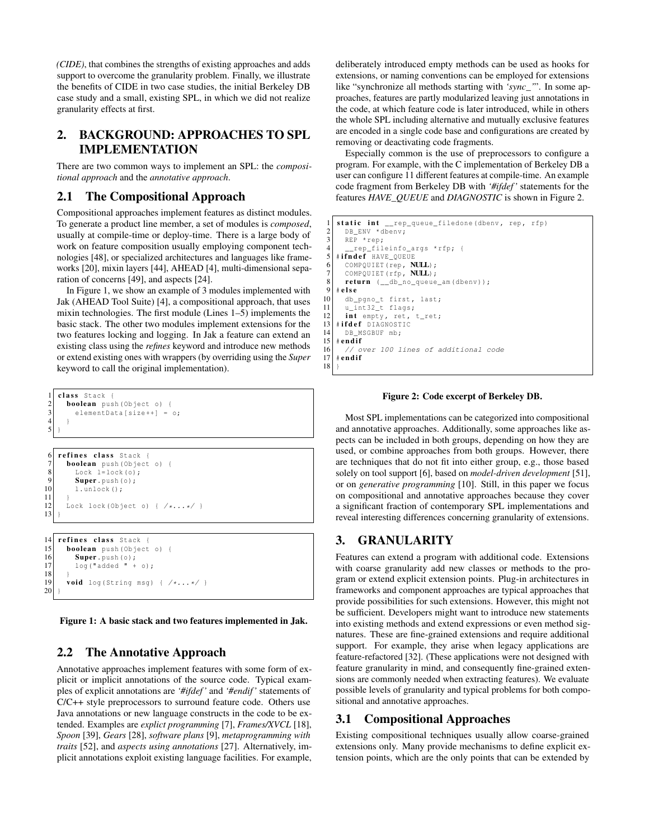*(CIDE)*, that combines the strengths of existing approaches and adds support to overcome the granularity problem. Finally, we illustrate the benefits of CIDE in two case studies, the initial Berkeley DB case study and a small, existing SPL, in which we did not realize granularity effects at first.

# 2. BACKGROUND: APPROACHES TO SPL IMPLEMENTATION

There are two common ways to implement an SPL: the *compositional approach* and the *annotative approach*.

## 2.1 The Compositional Approach

Compositional approaches implement features as distinct modules. To generate a product line member, a set of modules is *composed*, usually at compile-time or deploy-time. There is a large body of work on feature composition usually employing component technologies [48], or specialized architectures and languages like frameworks [20], mixin layers [44], AHEAD [4], multi-dimensional separation of concerns [49], and aspects [24].

In Figure 1, we show an example of 3 modules implemented with Jak (AHEAD Tool Suite) [4], a compositional approach, that uses mixin technologies. The first module (Lines 1–5) implements the basic stack. The other two modules implement extensions for the two features locking and logging. In Jak a feature can extend an existing class using the *refines* keyword and introduce new methods or extend existing ones with wrappers (by overriding using the *Super* keyword to call the original implementation).

```
class Stack {
 2 boolean push(Object o) {
           elementData[size++] = o;
 \frac{3}{4}\overline{5}6 refines class Stack
 7 boolean push(Object o) {
 8 Lock l=lock(o);
\begin{array}{c} 9 \\ 10 \end{array} Super. push(0);
           l.unlock();
\frac{11}{12}Lock lock (Object o) { /*...*/ }
13 }
14 refines class Stack {<br>15 boolean push (Object
15 boolean push(Object o) {<br>16 Super.push(o);
\begin{array}{lll} 16 & \text{Super.push}(0); \ 17 & \text{long (} \texttt{radded } \texttt{'' +} \end{array}log("added " + o);\frac{18}{19}void log(String msg) { /*...*/ }
```
Figure 1: A basic stack and two features implemented in Jak.

## 2.2 The Annotative Approach

20 }

Annotative approaches implement features with some form of explicit or implicit annotations of the source code. Typical examples of explicit annotations are *'#ifdef '* and *'#endif '* statements of C/C++ style preprocessors to surround feature code. Others use Java annotations or new language constructs in the code to be extended. Examples are *explict programming* [7], *Frames/XVCL* [18], *Spoon* [39], *Gears* [28], *software plans* [9], *metaprogramming with traits* [52], and *aspects using annotations* [27]. Alternatively, implicit annotations exploit existing language facilities. For example, deliberately introduced empty methods can be used as hooks for extensions, or naming conventions can be employed for extensions like "synchronize all methods starting with *'sync\_'*". In some approaches, features are partly modularized leaving just annotations in the code, at which feature code is later introduced, while in others the whole SPL including alternative and mutually exclusive features are encoded in a single code base and configurations are created by removing or deactivating code fragments.

Especially common is the use of preprocessors to configure a program. For example, with the C implementation of Berkeley DB a user can configure 11 different features at compile-time. An example code fragment from Berkeley DB with *'#ifdef '* statements for the features *HAVE\_QUEUE* and *DIAGNOSTIC* is shown in Figure 2.

```
static int __rep_queue_filedone(dbenv, rep, rfp)
 2 DB_ENV *dbenv;
       R\overline{R} *rep;
 4 __rep_fileinfo_args *rfp; {
 5 #ifndef HAVE_QUEUE
 6 COMPQUIET (rep, NULL);
       COMPQUIET(rfp, NULL);
 \begin{array}{c} 8 \ 9 \ \text{ return } (-db\_{no\text{-}queue\_\text{am}}(db\text{env})); \end{array}\#else
\begin{bmatrix} 10 \\ 11 \end{bmatrix} db_pgno_t first, last;
       u_int32<sub>_t</sub> flags;
12 int empty, ret, t_{\text{ret}};<br>13 #ifdef DIAGNOSTIC
    #ifdef DIAGNOSTIC
14 DB_MSGBUF mb;<br>15 \text{endif}\begin{array}{c|c} 15 \end{array} # endif
16 // over 100 lines of additional code 17 + <b>endif</b># endif
18 }
```
Figure 2: Code excerpt of Berkeley DB.

Most SPL implementations can be categorized into compositional and annotative approaches. Additionally, some approaches like aspects can be included in both groups, depending on how they are used, or combine approaches from both groups. However, there are techniques that do not fit into either group, e.g., those based solely on tool support [6], based on *model-driven development* [51], or on *generative programming* [10]. Still, in this paper we focus on compositional and annotative approaches because they cover a significant fraction of contemporary SPL implementations and reveal interesting differences concerning granularity of extensions.

# 3. GRANULARITY

Features can extend a program with additional code. Extensions with coarse granularity add new classes or methods to the program or extend explicit extension points. Plug-in architectures in frameworks and component approaches are typical approaches that provide possibilities for such extensions. However, this might not be sufficient. Developers might want to introduce new statements into existing methods and extend expressions or even method signatures. These are fine-grained extensions and require additional support. For example, they arise when legacy applications are feature-refactored [32]. (These applications were not designed with feature granularity in mind, and consequently fine-grained extensions are commonly needed when extracting features). We evaluate possible levels of granularity and typical problems for both compositional and annotative approaches.

### 3.1 Compositional Approaches

Existing compositional techniques usually allow coarse-grained extensions only. Many provide mechanisms to define explicit extension points, which are the only points that can be extended by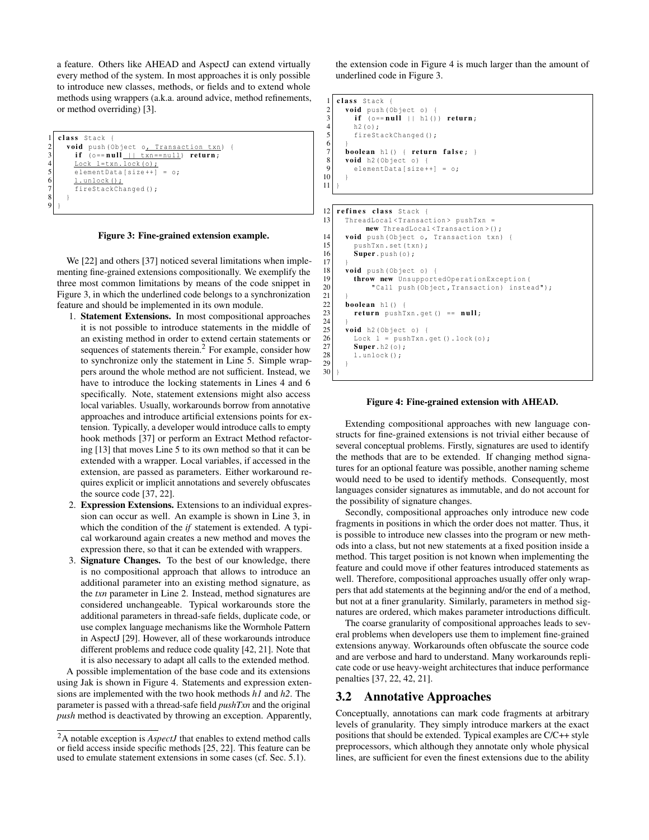a feature. Others like AHEAD and AspectJ can extend virtually every method of the system. In most approaches it is only possible to introduce new classes, methods, or fields and to extend whole methods using wrappers (a.k.a. around advice, method refinements, or method overriding) [3].

```
class Stack
2 void push (Object o<u>, Transaction txn</u>)<br>if (o == null + txn == null) return:
         if (o==null || txn ==null) return;
         Lock l=txn.lock(o);
         elementData[size++] = o;
           .unlock();
         fireStackChanged();
\begin{array}{c} 8 \\ 9 \end{array} } }
```
#### Figure 3: Fine-grained extension example.

We [22] and others [37] noticed several limitations when implementing fine-grained extensions compositionally. We exemplify the three most common limitations by means of the code snippet in Figure 3, in which the underlined code belongs to a synchronization feature and should be implemented in its own module.

- 1. Statement Extensions. In most compositional approaches it is not possible to introduce statements in the middle of an existing method in order to extend certain statements or sequences of statements therein.2 For example, consider how to synchronize only the statement in Line 5. Simple wrappers around the whole method are not sufficient. Instead, we have to introduce the locking statements in Lines 4 and 6 specifically. Note, statement extensions might also access local variables. Usually, workarounds borrow from annotative approaches and introduce artificial extensions points for extension. Typically, a developer would introduce calls to empty hook methods [37] or perform an Extract Method refactoring [13] that moves Line 5 to its own method so that it can be extended with a wrapper. Local variables, if accessed in the extension, are passed as parameters. Either workaround requires explicit or implicit annotations and severely obfuscates the source code [37, 22].
- 2. Expression Extensions. Extensions to an individual expression can occur as well. An example is shown in Line 3, in which the condition of the *if* statement is extended. A typical workaround again creates a new method and moves the expression there, so that it can be extended with wrappers.
- 3. Signature Changes. To the best of our knowledge, there is no compositional approach that allows to introduce an additional parameter into an existing method signature, as the *txn* parameter in Line 2. Instead, method signatures are considered unchangeable. Typical workarounds store the additional parameters in thread-safe fields, duplicate code, or use complex language mechanisms like the Wormhole Pattern in AspectJ [29]. However, all of these workarounds introduce different problems and reduce code quality [42, 21]. Note that it is also necessary to adapt all calls to the extended method.

A possible implementation of the base code and its extensions using Jak is shown in Figure 4. Statements and expression extensions are implemented with the two hook methods *h1* and *h2*. The parameter is passed with a thread-safe field *pushTxn* and the original *push* method is deactivated by throwing an exception. Apparently, the extension code in Figure 4 is much larger than the amount of underlined code in Figure 3.

```
class Stack
\begin{array}{c|cc} 2 & \textbf{void } \text{push}(\text{Object} \text{ o}) & \text{if} & \text{if} \text{ (o==null 11 h1)}) \end{array}\mathbf{if} \quad \circ = \mathbf{null} \quad | \quad \text{h1}() \quad \mathbf{return}\begin{array}{c|c} 4 & \text{h2 (0)}; \\ 5 & \text{first} \end{array}fireStackChanged();
7 boolean h1() { return false : \}\begin{array}{c|c} 8 & \textbf{void } h2 \text{ (Object o)} \\ 9 & \textbf{elementData} Isize+ \end{array}elementData[size++] = o;
```
6

10 }  $11$ 

```
12 refines class Stack {<br>13 ThreadLocal <Transac
         13 ThreadLocal <Transaction > pushTxn =
                new ThreadLocal<Transaction>();
14 void push (Object o, Transaction txn) {<br>15 pushTxn.set(txn):
            pushTxn.set(txn);
16 Super. push(o);
17 }
18 void push(Object o) {<br>19 throw new Unsupport
19 throw new UnsupportedOperationException (20<br>
"Call push (Object, Transaction) instea
                  "Call push(Object, Transaction) instead");
\begin{array}{c} 21 \\ 22 \end{array}\begin{array}{c|c} 22 & \text{boolean} & \text{h1} \text{)} \\ 23 & \text{return} & \text{push} \end{array}return pushTxn.get() == null;\frac{24}{25}25 void h2 (Object o) {<br>26 Lock 1 = pushTxn.
26 Lock 1 = pushTxn.get().lock(o);<br>27 Super.h2(o);
27 \n 28 \n  1. unlock ();
            l.unlock();
29 }
30 }
```
#### Figure 4: Fine-grained extension with AHEAD.

Extending compositional approaches with new language constructs for fine-grained extensions is not trivial either because of several conceptual problems. Firstly, signatures are used to identify the methods that are to be extended. If changing method signatures for an optional feature was possible, another naming scheme would need to be used to identify methods. Consequently, most languages consider signatures as immutable, and do not account for the possibility of signature changes.

Secondly, compositional approaches only introduce new code fragments in positions in which the order does not matter. Thus, it is possible to introduce new classes into the program or new methods into a class, but not new statements at a fixed position inside a method. This target position is not known when implementing the feature and could move if other features introduced statements as well. Therefore, compositional approaches usually offer only wrappers that add statements at the beginning and/or the end of a method, but not at a finer granularity. Similarly, parameters in method signatures are ordered, which makes parameter introductions difficult.

The coarse granularity of compositional approaches leads to several problems when developers use them to implement fine-grained extensions anyway. Workarounds often obfuscate the source code and are verbose and hard to understand. Many workarounds replicate code or use heavy-weight architectures that induce performance penalties [37, 22, 42, 21].

#### 3.2 Annotative Approaches

Conceptually, annotations can mark code fragments at arbitrary levels of granularity. They simply introduce markers at the exact positions that should be extended. Typical examples are C/C++ style preprocessors, which although they annotate only whole physical lines, are sufficient for even the finest extensions due to the ability

<sup>2</sup>A notable exception is *AspectJ* that enables to extend method calls or field access inside specific methods [25, 22]. This feature can be used to emulate statement extensions in some cases (cf. Sec. 5.1).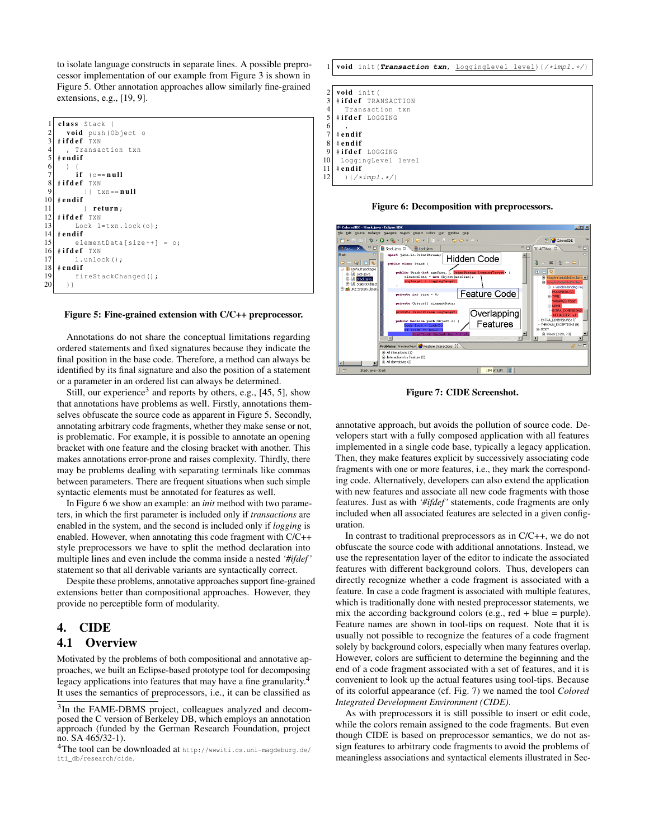to isolate language constructs in separate lines. A possible preprocessor implementation of our example from Figure 3 is shown in Figure 5. Other annotation approaches allow similarly fine-grained extensions, e.g., [19, 9].



#### Figure 5: Fine-grained extension with C/C++ preprocessor.

Annotations do not share the conceptual limitations regarding ordered statements and fixed signatures because they indicate the final position in the base code. Therefore, a method can always be identified by its final signature and also the position of a statement or a parameter in an ordered list can always be determined.

Still, our experience<sup>3</sup> and reports by others, e.g., [45, 5], show that annotations have problems as well. Firstly, annotations themselves obfuscate the source code as apparent in Figure 5. Secondly, annotating arbitrary code fragments, whether they make sense or not, is problematic. For example, it is possible to annotate an opening bracket with one feature and the closing bracket with another. This makes annotations error-prone and raises complexity. Thirdly, there may be problems dealing with separating terminals like commas between parameters. There are frequent situations when such simple syntactic elements must be annotated for features as well.

In Figure 6 we show an example: an *init* method with two parameters, in which the first parameter is included only if *transactions* are enabled in the system, and the second is included only if *logging* is enabled. However, when annotating this code fragment with C/C++ style preprocessors we have to split the method declaration into multiple lines and even include the comma inside a nested *'#ifdef '* statement so that all derivable variants are syntactically correct.

Despite these problems, annotative approaches support fine-grained extensions better than compositional approaches. However, they provide no perceptible form of modularity.

#### 4. CIDE

#### 4.1 Overview

Motivated by the problems of both compositional and annotative approaches, we built an Eclipse-based prototype tool for decomposing legacy applications into features that may have a fine granularity. It uses the semantics of preprocessors, i.e., it can be classified as







Figure 7: CIDE Screenshot.

annotative approach, but avoids the pollution of source code. Developers start with a fully composed application with all features implemented in a single code base, typically a legacy application. Then, they make features explicit by successively associating code fragments with one or more features, i.e., they mark the corresponding code. Alternatively, developers can also extend the application with new features and associate all new code fragments with those features. Just as with *'#ifdef '* statements, code fragments are only included when all associated features are selected in a given configuration.

In contrast to traditional preprocessors as in C/C++, we do not obfuscate the source code with additional annotations. Instead, we use the representation layer of the editor to indicate the associated features with different background colors. Thus, developers can directly recognize whether a code fragment is associated with a feature. In case a code fragment is associated with multiple features, which is traditionally done with nested preprocessor statements, we mix the according background colors (e.g., red  $+$  blue = purple). Feature names are shown in tool-tips on request. Note that it is usually not possible to recognize the features of a code fragment solely by background colors, especially when many features overlap. However, colors are sufficient to determine the beginning and the end of a code fragment associated with a set of features, and it is convenient to look up the actual features using tool-tips. Because of its colorful appearance (cf. Fig. 7) we named the tool *Colored Integrated Development Environment (CIDE)*.

As with preprocessors it is still possible to insert or edit code, while the colors remain assigned to the code fragments. But even though CIDE is based on preprocessor semantics, we do not assign features to arbitrary code fragments to avoid the problems of meaningless associations and syntactical elements illustrated in Sec-

<sup>&</sup>lt;sup>3</sup>In the FAME-DBMS project, colleagues analyzed and decomposed the C version of Berkeley DB, which employs an annotation approach (funded by the German Research Foundation, project no. SA 465/32-1).

<sup>4</sup>The tool can be downloaded at http://wwwiti.cs.uni-magdeburg.de/ iti\_db/research/cide.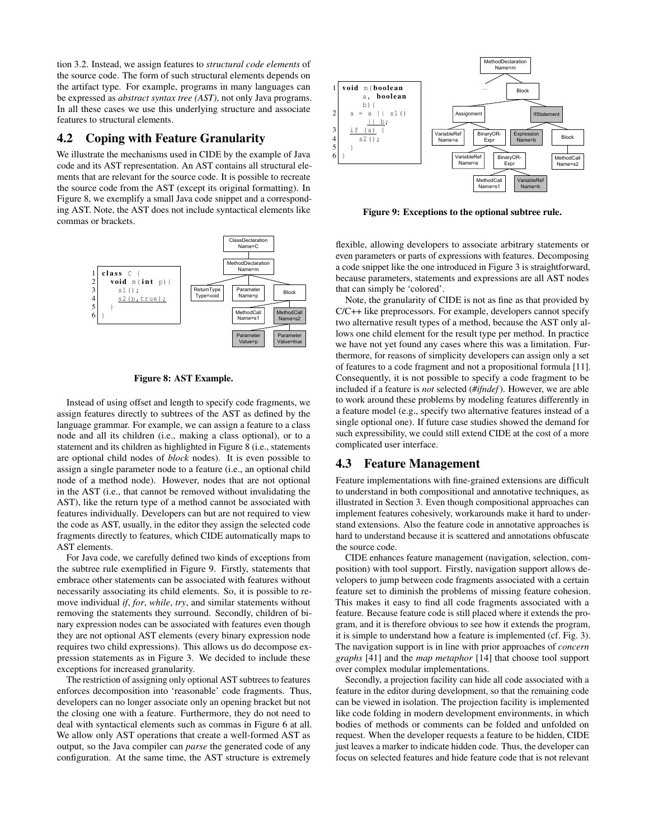tion 3.2. Instead, we assign features to *structural code elements* of the source code. The form of such structural elements depends on the artifact type. For example, programs in many languages can be expressed as *abstract syntax tree (AST)*, not only Java programs. In all these cases we use this underlying structure and associate features to structural elements.

## 4.2 Coping with Feature Granularity

We illustrate the mechanisms used in CIDE by the example of Java code and its AST representation. An AST contains all structural elements that are relevant for the source code. It is possible to recreate the source code from the AST (except its original formatting). In Figure 8, we exemplify a small Java code snippet and a corresponding AST. Note, the AST does not include syntactical elements like commas or brackets.



Figure 8: AST Example.

Instead of using offset and length to specify code fragments, we assign features directly to subtrees of the AST as defined by the language grammar. For example, we can assign a feature to a class node and all its children (i.e., making a class optional), or to a statement and its children as highlighted in Figure 8 (i.e., statements are optional child nodes of *block* nodes). It is even possible to assign a single parameter node to a feature (i.e., an optional child node of a method node). However, nodes that are not optional in the AST (i.e., that cannot be removed without invalidating the AST), like the return type of a method cannot be associated with features individually. Developers can but are not required to view the code as AST, usually, in the editor they assign the selected code fragments directly to features, which CIDE automatically maps to AST elements.

For Java code, we carefully defined two kinds of exceptions from the subtree rule exemplified in Figure 9. Firstly, statements that embrace other statements can be associated with features without necessarily associating its child elements. So, it is possible to remove individual *if*, *for*, *while*, *try*, and similar statements without removing the statements they surround. Secondly, children of binary expression nodes can be associated with features even though they are not optional AST elements (every binary expression node requires two child expressions). This allows us do decompose expression statements as in Figure 3. We decided to include these exceptions for increased granularity.

The restriction of assigning only optional AST subtrees to features enforces decomposition into 'reasonable' code fragments. Thus, developers can no longer associate only an opening bracket but not the closing one with a feature. Furthermore, they do not need to deal with syntactical elements such as commas in Figure 6 at all. We allow only AST operations that create a well-formed AST as output, so the Java compiler can *parse* the generated code of any configuration. At the same time, the AST structure is extremely



Figure 9: Exceptions to the optional subtree rule.

flexible, allowing developers to associate arbitrary statements or even parameters or parts of expressions with features. Decomposing a code snippet like the one introduced in Figure 3 is straightforward, because parameters, statements and expressions are all AST nodes that can simply be 'colored'.

Note, the granularity of CIDE is not as fine as that provided by C/C++ like preprocessors. For example, developers cannot specify two alternative result types of a method, because the AST only allows one child element for the result type per method. In practice we have not yet found any cases where this was a limitation. Furthermore, for reasons of simplicity developers can assign only a set of features to a code fragment and not a propositional formula [11]. Consequently, it is not possible to specify a code fragment to be included if a feature is *not* selected (*#ifndef*). However, we are able to work around these problems by modeling features differently in a feature model (e.g., specify two alternative features instead of a single optional one). If future case studies showed the demand for such expressibility, we could still extend CIDE at the cost of a more complicated user interface.

### 4.3 Feature Management

Feature implementations with fine-grained extensions are difficult to understand in both compositional and annotative techniques, as illustrated in Section 3. Even though compositional approaches can implement features cohesively, workarounds make it hard to understand extensions. Also the feature code in annotative approaches is hard to understand because it is scattered and annotations obfuscate the source code.

CIDE enhances feature management (navigation, selection, composition) with tool support. Firstly, navigation support allows developers to jump between code fragments associated with a certain feature set to diminish the problems of missing feature cohesion. This makes it easy to find all code fragments associated with a feature. Because feature code is still placed where it extends the program, and it is therefore obvious to see how it extends the program, it is simple to understand how a feature is implemented (cf. Fig. 3). The navigation support is in line with prior approaches of *concern graphs* [41] and the *map metaphor* [14] that choose tool support over complex modular implementations.

Secondly, a projection facility can hide all code associated with a feature in the editor during development, so that the remaining code can be viewed in isolation. The projection facility is implemented like code folding in modern development environments, in which bodies of methods or comments can be folded and unfolded on request. When the developer requests a feature to be hidden, CIDE just leaves a marker to indicate hidden code. Thus, the developer can focus on selected features and hide feature code that is not relevant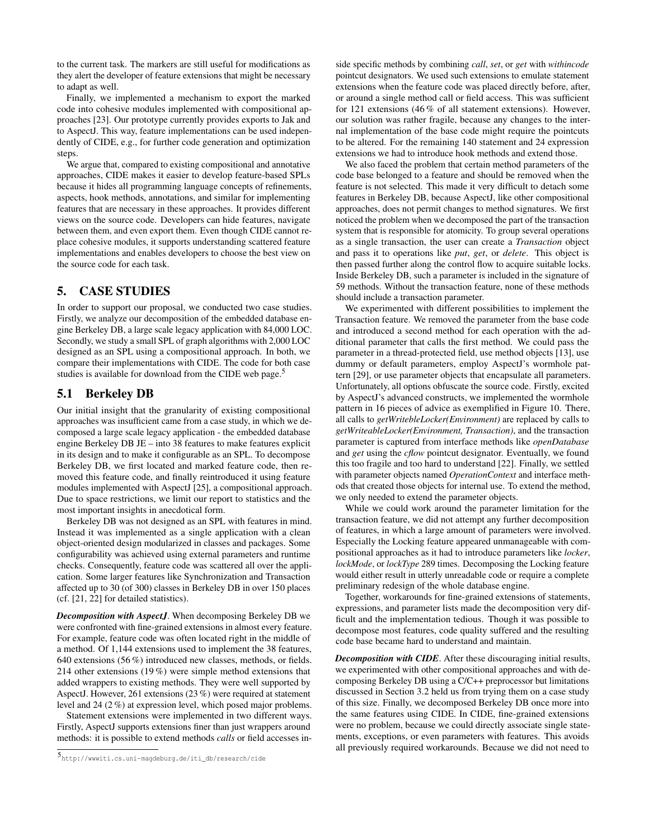to the current task. The markers are still useful for modifications as they alert the developer of feature extensions that might be necessary to adapt as well.

Finally, we implemented a mechanism to export the marked code into cohesive modules implemented with compositional approaches [23]. Our prototype currently provides exports to Jak and to AspectJ. This way, feature implementations can be used independently of CIDE, e.g., for further code generation and optimization steps.

We argue that, compared to existing compositional and annotative approaches, CIDE makes it easier to develop feature-based SPLs because it hides all programming language concepts of refinements, aspects, hook methods, annotations, and similar for implementing features that are necessary in these approaches. It provides different views on the source code. Developers can hide features, navigate between them, and even export them. Even though CIDE cannot replace cohesive modules, it supports understanding scattered feature implementations and enables developers to choose the best view on the source code for each task.

# 5. CASE STUDIES

In order to support our proposal, we conducted two case studies. Firstly, we analyze our decomposition of the embedded database engine Berkeley DB, a large scale legacy application with 84,000 LOC. Secondly, we study a small SPL of graph algorithms with 2,000 LOC designed as an SPL using a compositional approach. In both, we compare their implementations with CIDE. The code for both case studies is available for download from the CIDE web page.<sup>5</sup>

## 5.1 Berkeley DB

Our initial insight that the granularity of existing compositional approaches was insufficient came from a case study, in which we decomposed a large scale legacy application - the embedded database engine Berkeley DB JE – into 38 features to make features explicit in its design and to make it configurable as an SPL. To decompose Berkeley DB, we first located and marked feature code, then removed this feature code, and finally reintroduced it using feature modules implemented with AspectJ [25], a compositional approach. Due to space restrictions, we limit our report to statistics and the most important insights in anecdotical form.

Berkeley DB was not designed as an SPL with features in mind. Instead it was implemented as a single application with a clean object-oriented design modularized in classes and packages. Some configurability was achieved using external parameters and runtime checks. Consequently, feature code was scattered all over the application. Some larger features like Synchronization and Transaction affected up to 30 (of 300) classes in Berkeley DB in over 150 places (cf. [21, 22] for detailed statistics).

*Decomposition with AspectJ*. When decomposing Berkeley DB we were confronted with fine-grained extensions in almost every feature. For example, feature code was often located right in the middle of a method. Of 1,144 extensions used to implement the 38 features, 640 extensions (56 %) introduced new classes, methods, or fields. 214 other extensions (19 %) were simple method extensions that added wrappers to existing methods. They were well supported by AspectJ. However, 261 extensions (23 %) were required at statement level and 24 (2 %) at expression level, which posed major problems.

Statement extensions were implemented in two different ways. Firstly, AspectJ supports extensions finer than just wrappers around methods: it is possible to extend methods *calls* or field accesses in-

<sup>5</sup>http://wwwiti.cs.uni-magdeburg.de/iti\_db/research/cide

side specific methods by combining *call*, *set*, or *get* with *withincode* pointcut designators. We used such extensions to emulate statement extensions when the feature code was placed directly before, after, or around a single method call or field access. This was sufficient for 121 extensions (46 % of all statement extensions). However, our solution was rather fragile, because any changes to the internal implementation of the base code might require the pointcuts to be altered. For the remaining 140 statement and 24 expression extensions we had to introduce hook methods and extend those.

We also faced the problem that certain method parameters of the code base belonged to a feature and should be removed when the feature is not selected. This made it very difficult to detach some features in Berkeley DB, because AspectJ, like other compositional approaches, does not permit changes to method signatures. We first noticed the problem when we decomposed the part of the transaction system that is responsible for atomicity. To group several operations as a single transaction, the user can create a *Transaction* object and pass it to operations like *put*, *get*, or *delete*. This object is then passed further along the control flow to acquire suitable locks. Inside Berkeley DB, such a parameter is included in the signature of 59 methods. Without the transaction feature, none of these methods should include a transaction parameter.

We experimented with different possibilities to implement the Transaction feature. We removed the parameter from the base code and introduced a second method for each operation with the additional parameter that calls the first method. We could pass the parameter in a thread-protected field, use method objects [13], use dummy or default parameters, employ AspectJ's wormhole pattern [29], or use parameter objects that encapsulate all parameters. Unfortunately, all options obfuscate the source code. Firstly, excited by AspectJ's advanced constructs, we implemented the wormhole pattern in 16 pieces of advice as exemplified in Figure 10. There, all calls to *getWritebleLocker(Environment)* are replaced by calls to *getWriteableLocker(Environment, Transaction)*, and the transaction parameter is captured from interface methods like *openDatabase* and *get* using the *cflow* pointcut designator. Eventually, we found this too fragile and too hard to understand [22]. Finally, we settled with parameter objects named *OperationContext* and interface methods that created those objects for internal use. To extend the method, we only needed to extend the parameter objects.

While we could work around the parameter limitation for the transaction feature, we did not attempt any further decomposition of features, in which a large amount of parameters were involved. Especially the Locking feature appeared unmanageable with compositional approaches as it had to introduce parameters like *locker*, *lockMode*, or *lockType* 289 times. Decomposing the Locking feature would either result in utterly unreadable code or require a complete preliminary redesign of the whole database engine.

Together, workarounds for fine-grained extensions of statements, expressions, and parameter lists made the decomposition very difficult and the implementation tedious. Though it was possible to decompose most features, code quality suffered and the resulting code base became hard to understand and maintain.

*Decomposition with CIDE*. After these discouraging initial results, we experimented with other compositional approaches and with decomposing Berkeley DB using a C/C++ preprocessor but limitations discussed in Section 3.2 held us from trying them on a case study of this size. Finally, we decomposed Berkeley DB once more into the same features using CIDE. In CIDE, fine-grained extensions were no problem, because we could directly associate single statements, exceptions, or even parameters with features. This avoids all previously required workarounds. Because we did not need to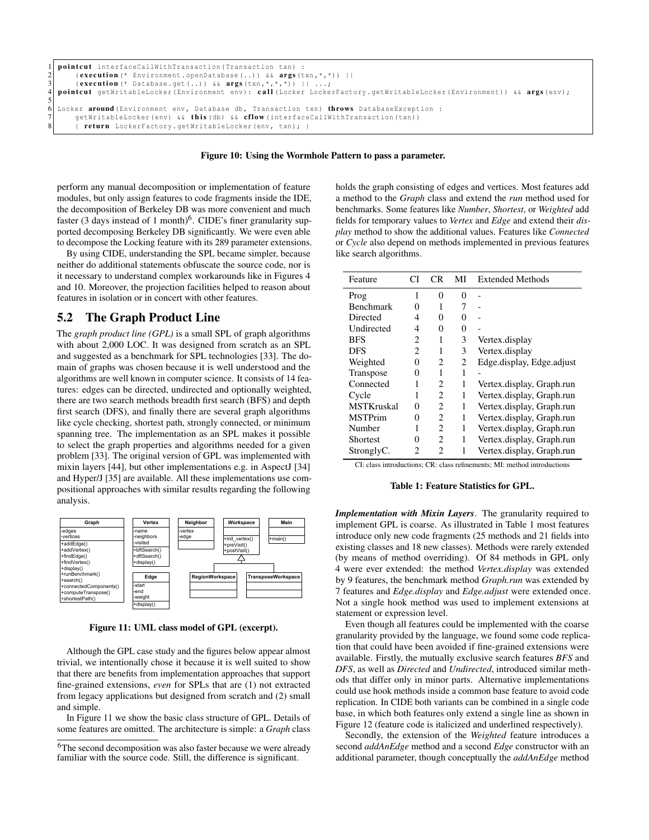```
1 pointcut interfaceCallWithTransaction(Transaction txn) :<br>2 execution (* Environment.openDatabase(..)) && args (t
2 (execution (* Environment.openDatabase (...) && args(txn,*,*)) ||<br>3 (execution (* Database.oet (. .)) && args(txn,*,*,*)) || ...;
3 (execution (* Database.get (...)) \& args (\tan, *, *, *, \overline{>)} || ...;<br>4 pointcut getWritableLocker (Environment env): call (Locker Locke
   pointcut getWritableLocker(Environment env): call (Locker LockerFactory.getWritableLocker(Environment)) && args (env);
\frac{5}{6}6 Locker around (Environment env, Database db, Transaction txn) throws DatabaseException :<br>7 getWritableLocker (env) & this (db) & cflow (interfaceCallWithTransaction (txn))
         getWritableLocker(env) && this (db) && cflow (interfaceCallWithTransaction(txn))
          { return LockerFactory.getWritableLocker(env, txn); }
```
#### Figure 10: Using the Wormhole Pattern to pass a parameter.

perform any manual decomposition or implementation of feature modules, but only assign features to code fragments inside the IDE, the decomposition of Berkeley DB was more convenient and much faster (3 days instead of 1 month)<sup>6</sup>. CIDE's finer granularity supported decomposing Berkeley DB significantly. We were even able to decompose the Locking feature with its 289 parameter extensions.

By using CIDE, understanding the SPL became simpler, because neither do additional statements obfuscate the source code, nor is it necessary to understand complex workarounds like in Figures 4 and 10. Moreover, the projection facilities helped to reason about features in isolation or in concert with other features.

## 5.2 The Graph Product Line

The *graph product line (GPL)* is a small SPL of graph algorithms with about 2,000 LOC. It was designed from scratch as an SPL and suggested as a benchmark for SPL technologies [33]. The domain of graphs was chosen because it is well understood and the algorithms are well known in computer science. It consists of 14 features: edges can be directed, undirected and optionally weighted, there are two search methods breadth first search (BFS) and depth first search (DFS), and finally there are several graph algorithms like cycle checking, shortest path, strongly connected, or minimum spanning tree. The implementation as an SPL makes it possible to select the graph properties and algorithms needed for a given problem [33]. The original version of GPL was implemented with mixin layers [44], but other implementations e.g. in AspectJ [34] and Hyper/J [35] are available. All these implementations use compositional approaches with similar results regarding the following analysis.



Figure 11: UML class model of GPL (excerpt).

Although the GPL case study and the figures below appear almost trivial, we intentionally chose it because it is well suited to show that there are benefits from implementation approaches that support fine-grained extensions, *even* for SPLs that are (1) not extracted from legacy applications but designed from scratch and (2) small and simple.

In Figure 11 we show the basic class structure of GPL. Details of some features are omitted. The architecture is simple: a *Graph* class holds the graph consisting of edges and vertices. Most features add a method to the *Graph* class and extend the *run* method used for benchmarks. Some features like *Number*, *Shortest*, or *Weighted* add fields for temporary values to *Vertex* and *Edge* and extend their *display* method to show the additional values. Features like *Connected* or *Cycle* also depend on methods implemented in previous features like search algorithms.

| Feature           | СI                | CR                          | MI     | <b>Extended Methods</b>   |
|-------------------|-------------------|-----------------------------|--------|---------------------------|
| Prog              | 1                 | 0                           | 0      |                           |
| <b>Benchmark</b>  | 0                 | 1                           | 7      |                           |
| Directed          | 4                 | 0                           | 0      |                           |
| Undirected        | 4                 | 0                           | $_{0}$ |                           |
| <b>BFS</b>        | 2                 | 1                           | 3      | Vertex.display            |
| DFS               | 2                 | 1                           | 3      | Vertex.display            |
| Weighted          | 0                 | $\overline{c}$              | 2      | Edge.display, Edge.adjust |
| Transpose         | $\mathbf{\Omega}$ | 1                           | 1      |                           |
| Connected         |                   | $\overline{c}$              | 1      | Vertex.display, Graph.run |
| Cycle             | 1                 | 2                           | 1      | Vertex.display, Graph.run |
| <b>MSTKruskal</b> | $\theta$          | $\mathcal{D}_{\mathcal{L}}$ | 1      | Vertex.display, Graph.run |
| <b>MSTPrim</b>    | $\theta$          | 2                           | 1      | Vertex.display, Graph.run |
| Number            |                   | $\mathfrak{D}$              | 1      | Vertex.display, Graph.run |
| Shortest          | $\mathbf{\Omega}$ | $\mathfrak{D}$              | 1      | Vertex.display, Graph.run |
| StronglyC.        | 2                 | 2                           | 1      | Vertex.display, Graph.run |

CI: class introductions; CR: class refinements; MI: method introductions

#### Table 1: Feature Statistics for GPL.

*Implementation with Mixin Layers*. The granularity required to implement GPL is coarse. As illustrated in Table 1 most features introduce only new code fragments (25 methods and 21 fields into existing classes and 18 new classes). Methods were rarely extended (by means of method overriding). Of 84 methods in GPL only 4 were ever extended: the method *Vertex.display* was extended by 9 features, the benchmark method *Graph.run* was extended by 7 features and *Edge.display* and *Edge.adjust* were extended once. Not a single hook method was used to implement extensions at statement or expression level.

Even though all features could be implemented with the coarse granularity provided by the language, we found some code replication that could have been avoided if fine-grained extensions were available. Firstly, the mutually exclusive search features *BFS* and *DFS*, as well as *Directed* and *Undirected*, introduced similar methods that differ only in minor parts. Alternative implementations could use hook methods inside a common base feature to avoid code replication. In CIDE both variants can be combined in a single code base, in which both features only extend a single line as shown in Figure 12 (feature code is italicized and underlined respectively).

Secondly, the extension of the *Weighted* feature introduces a second *addAnEdge* method and a second *Edge* constructor with an additional parameter, though conceptually the *addAnEdge* method

<sup>&</sup>lt;sup>6</sup>The second decomposition was also faster because we were already familiar with the source code. Still, the difference is significant.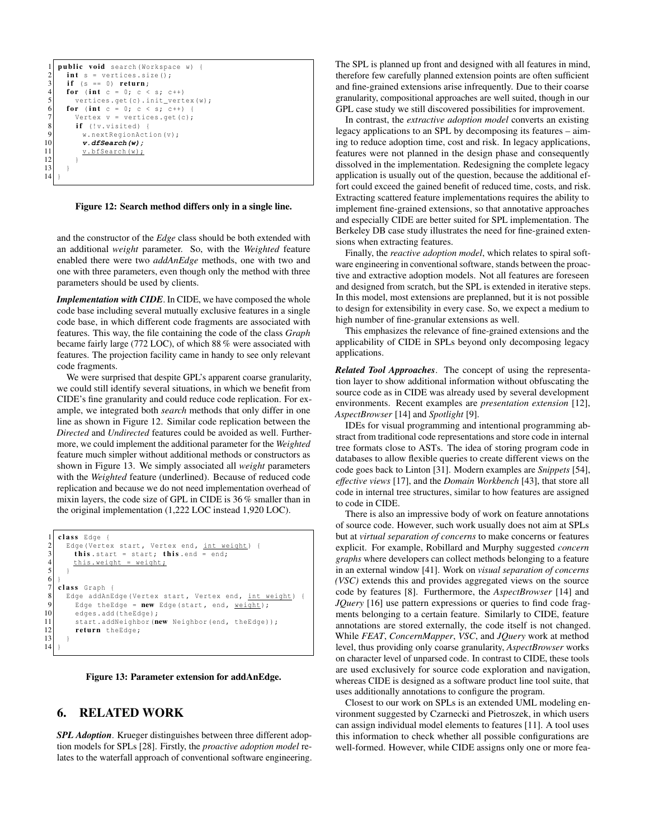```
1 public void search (Workspace w)<br>2 int s = vertices.size();
  2 int s = vertices.size();<br>3 if (s == 0) return;
  \begin{array}{c|cc} 3 & \text{if} & (s == 0) & \text{return}; \\ 4 & \text{for} & (\text{int } c == 0) & c \end{array}\begin{array}{c|c} 4 & \textbf{for} & \textbf{(int c = 0; c < s; c++)} \\ \textbf{vertices.get(c), init\_vert} \end{array}vertices.get(c).init_vertex(w);
  6 for (int c = 0; c < s; c++) {<br>
Vertex v = vertices.get(c);<br>
if (!v.visited) {
                Vertex v = vertices.get(c);
 \begin{array}{c} 8 \\ 9 \end{array} if (!v.visited) {
9 w.nextRegionAction(v);<br>10 \boldsymbol{v}.\boldsymbol{d}ESearch(w);
10 v.dfSearch(w);<br>11 v.bfSearch(w);
                   v.bfSearch(w);
12 }
13 }
14 }
```
Figure 12: Search method differs only in a single line.

and the constructor of the *Edge* class should be both extended with an additional *weight* parameter. So, with the *Weighted* feature enabled there were two *addAnEdge* methods, one with two and one with three parameters, even though only the method with three parameters should be used by clients.

*Implementation with CIDE*. In CIDE, we have composed the whole code base including several mutually exclusive features in a single code base, in which different code fragments are associated with features. This way, the file containing the code of the class *Graph* became fairly large (772 LOC), of which 88 % were associated with features. The projection facility came in handy to see only relevant code fragments.

We were surprised that despite GPL's apparent coarse granularity, we could still identify several situations, in which we benefit from CIDE's fine granularity and could reduce code replication. For example, we integrated both *search* methods that only differ in one line as shown in Figure 12. Similar code replication between the *Directed* and *Undirected* features could be avoided as well. Furthermore, we could implement the additional parameter for the *Weighted* feature much simpler without additional methods or constructors as shown in Figure 13. We simply associated all *weight* parameters with the *Weighted* feature (underlined). Because of reduced code replication and because we do not need implementation overhead of mixin layers, the code size of GPL in CIDE is 36 % smaller than in the original implementation (1,222 LOC instead 1,920 LOC).

```
class Edge {
 2 Edge (Vertex start, Vertex end, int weight) {<br>this start = start; this end = end;
 3 this start = start; this end = end;<br>this weight = weight;
           this.weight = weight;\begin{bmatrix} 5 \\ 6 \end{bmatrix} }
 \begin{array}{c} 7 \\ 8 \end{array} class Graph {<br>Edge addAnE
8 Edge addAnEdge(Vertex start, Vertex end, int weight) {<br>9 Edge theEdge = new Edge(start, end, weight);
9 Edge theEdge = new Edge(start, end, weight);<br>10 edges.add(theEdge);
10 edges.add(theEdge);<br>11 start.addNeighbor(n
11 start.addNeighbor(new Neighbor(end, theEdge));<br>12 return theEdge;
           return theEdge;
13 }
14
```


### 6. RELATED WORK

*SPL Adoption*. Krueger distinguishes between three different adoption models for SPLs [28]. Firstly, the *proactive adoption model* relates to the waterfall approach of conventional software engineering. The SPL is planned up front and designed with all features in mind, therefore few carefully planned extension points are often sufficient and fine-grained extensions arise infrequently. Due to their coarse granularity, compositional approaches are well suited, though in our GPL case study we still discovered possibilities for improvement.

In contrast, the *extractive adoption model* converts an existing legacy applications to an SPL by decomposing its features – aiming to reduce adoption time, cost and risk. In legacy applications, features were not planned in the design phase and consequently dissolved in the implementation. Redesigning the complete legacy application is usually out of the question, because the additional effort could exceed the gained benefit of reduced time, costs, and risk. Extracting scattered feature implementations requires the ability to implement fine-grained extensions, so that annotative approaches and especially CIDE are better suited for SPL implementation. The Berkeley DB case study illustrates the need for fine-grained extensions when extracting features.

Finally, the *reactive adoption model*, which relates to spiral software engineering in conventional software, stands between the proactive and extractive adoption models. Not all features are foreseen and designed from scratch, but the SPL is extended in iterative steps. In this model, most extensions are preplanned, but it is not possible to design for extensibility in every case. So, we expect a medium to high number of fine-granular extensions as well.

This emphasizes the relevance of fine-grained extensions and the applicability of CIDE in SPLs beyond only decomposing legacy applications.

*Related Tool Approaches*. The concept of using the representation layer to show additional information without obfuscating the source code as in CIDE was already used by several development environments. Recent examples are *presentation extension* [12], *AspectBrowser* [14] and *Spotlight* [9].

IDEs for visual programming and intentional programming abstract from traditional code representations and store code in internal tree formats close to ASTs. The idea of storing program code in databases to allow flexible queries to create different views on the code goes back to Linton [31]. Modern examples are *Snippets* [54], *effective views* [17], and the *Domain Workbench* [43], that store all code in internal tree structures, similar to how features are assigned to code in CIDE.

There is also an impressive body of work on feature annotations of source code. However, such work usually does not aim at SPLs but at *virtual separation of concerns* to make concerns or features explicit. For example, Robillard and Murphy suggested *concern graphs* where developers can collect methods belonging to a feature in an external window [41]. Work on *visual separation of concerns (VSC)* extends this and provides aggregated views on the source code by features [8]. Furthermore, the *AspectBrowser* [14] and *JQuery* [16] use pattern expressions or queries to find code fragments belonging to a certain feature. Similarly to CIDE, feature annotations are stored externally, the code itself is not changed. While *FEAT*, *ConcernMapper*, *VSC*, and *JQuery* work at method level, thus providing only coarse granularity, *AspectBrowser* works on character level of unparsed code. In contrast to CIDE, these tools are used exclusively for source code exploration and navigation, whereas CIDE is designed as a software product line tool suite, that uses additionally annotations to configure the program.

Closest to our work on SPLs is an extended UML modeling environment suggested by Czarnecki and Pietroszek, in which users can assign individual model elements to features [11]. A tool uses this information to check whether all possible configurations are well-formed. However, while CIDE assigns only one or more fea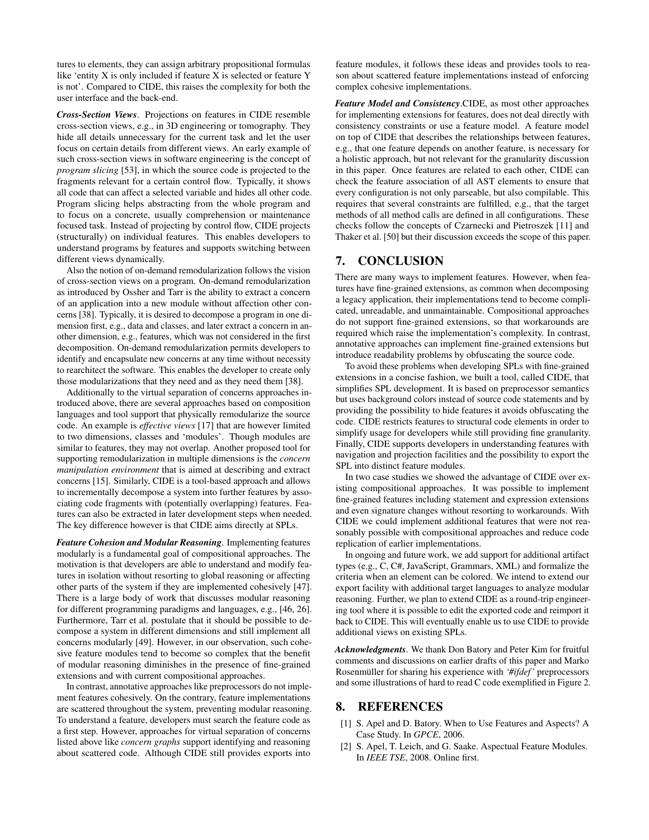tures to elements, they can assign arbitrary propositional formulas like 'entity X is only included if feature X is selected or feature Y is not'. Compared to CIDE, this raises the complexity for both the user interface and the back-end.

*Cross-Section Views*. Projections on features in CIDE resemble cross-section views, e.g., in 3D engineering or tomography. They hide all details unnecessary for the current task and let the user focus on certain details from different views. An early example of such cross-section views in software engineering is the concept of *program slicing* [53], in which the source code is projected to the fragments relevant for a certain control flow. Typically, it shows all code that can affect a selected variable and hides all other code. Program slicing helps abstracting from the whole program and to focus on a concrete, usually comprehension or maintenance focused task. Instead of projecting by control flow, CIDE projects (structurally) on individual features. This enables developers to understand programs by features and supports switching between different views dynamically.

Also the notion of on-demand remodularization follows the vision of cross-section views on a program. On-demand remodularization as introduced by Ossher and Tarr is the ability to extract a concern of an application into a new module without affection other concerns [38]. Typically, it is desired to decompose a program in one dimension first, e.g., data and classes, and later extract a concern in another dimension, e.g., features, which was not considered in the first decomposition. On-demand remodularization permits developers to identify and encapsulate new concerns at any time without necessity to rearchitect the software. This enables the developer to create only those modularizations that they need and as they need them [38].

Additionally to the virtual separation of concerns approaches introduced above, there are several approaches based on composition languages and tool support that physically remodularize the source code. An example is *effective views* [17] that are however limited to two dimensions, classes and 'modules'. Though modules are similar to features, they may not overlap. Another proposed tool for supporting remodularization in multiple dimensions is the *concern manipulation environment* that is aimed at describing and extract concerns [15]. Similarly, CIDE is a tool-based approach and allows to incrementally decompose a system into further features by associating code fragments with (potentially overlapping) features. Features can also be extracted in later development steps when needed. The key difference however is that CIDE aims directly at SPLs.

*Feature Cohesion and Modular Reasoning*. Implementing features modularly is a fundamental goal of compositional approaches. The motivation is that developers are able to understand and modify features in isolation without resorting to global reasoning or affecting other parts of the system if they are implemented cohesively [47]. There is a large body of work that discusses modular reasoning for different programming paradigms and languages, e.g., [46, 26]. Furthermore, Tarr et al. postulate that it should be possible to decompose a system in different dimensions and still implement all concerns modularly [49]. However, in our observation, such cohesive feature modules tend to become so complex that the benefit of modular reasoning diminishes in the presence of fine-grained extensions and with current compositional approaches.

In contrast, annotative approaches like preprocessors do not implement features cohesively. On the contrary, feature implementations are scattered throughout the system, preventing modular reasoning. To understand a feature, developers must search the feature code as a first step. However, approaches for virtual separation of concerns listed above like *concern graphs* support identifying and reasoning about scattered code. Although CIDE still provides exports into feature modules, it follows these ideas and provides tools to reason about scattered feature implementations instead of enforcing complex cohesive implementations.

*Feature Model and Consistency*.CIDE, as most other approaches for implementing extensions for features, does not deal directly with consistency constraints or use a feature model. A feature model on top of CIDE that describes the relationships between features, e.g., that one feature depends on another feature, is necessary for a holistic approach, but not relevant for the granularity discussion in this paper. Once features are related to each other, CIDE can check the feature association of all AST elements to ensure that every configuration is not only parseable, but also compilable. This requires that several constraints are fulfilled, e.g., that the target methods of all method calls are defined in all configurations. These checks follow the concepts of Czarnecki and Pietroszek [11] and Thaker et al. [50] but their discussion exceeds the scope of this paper.

# 7. CONCLUSION

There are many ways to implement features. However, when features have fine-grained extensions, as common when decomposing a legacy application, their implementations tend to become complicated, unreadable, and unmaintainable. Compositional approaches do not support fine-grained extensions, so that workarounds are required which raise the implementation's complexity. In contrast, annotative approaches can implement fine-grained extensions but introduce readability problems by obfuscating the source code.

To avoid these problems when developing SPLs with fine-grained extensions in a concise fashion, we built a tool, called CIDE, that simplifies SPL development. It is based on preprocessor semantics but uses background colors instead of source code statements and by providing the possibility to hide features it avoids obfuscating the code. CIDE restricts features to structural code elements in order to simplify usage for developers while still providing fine granularity. Finally, CIDE supports developers in understanding features with navigation and projection facilities and the possibility to export the SPL into distinct feature modules.

In two case studies we showed the advantage of CIDE over existing compositional approaches. It was possible to implement fine-grained features including statement and expression extensions and even signature changes without resorting to workarounds. With CIDE we could implement additional features that were not reasonably possible with compositional approaches and reduce code replication of earlier implementations.

In ongoing and future work, we add support for additional artifact types (e.g., C, C#, JavaScript, Grammars, XML) and formalize the criteria when an element can be colored. We intend to extend our export facility with additional target languages to analyze modular reasoning. Further, we plan to extend CIDE as a round-trip engineering tool where it is possible to edit the exported code and reimport it back to CIDE. This will eventually enable us to use CIDE to provide additional views on existing SPLs.

*Acknowledgments*. We thank Don Batory and Peter Kim for fruitful comments and discussions on earlier drafts of this paper and Marko Rosenmüller for sharing his experience with *'#ifdef '* preprocessors and some illustrations of hard to read C code exemplified in Figure 2.

## 8. REFERENCES

- [1] S. Apel and D. Batory. When to Use Features and Aspects? A Case Study. In *GPCE*, 2006.
- [2] S. Apel, T. Leich, and G. Saake. Aspectual Feature Modules. In *IEEE TSE*, 2008. Online first.